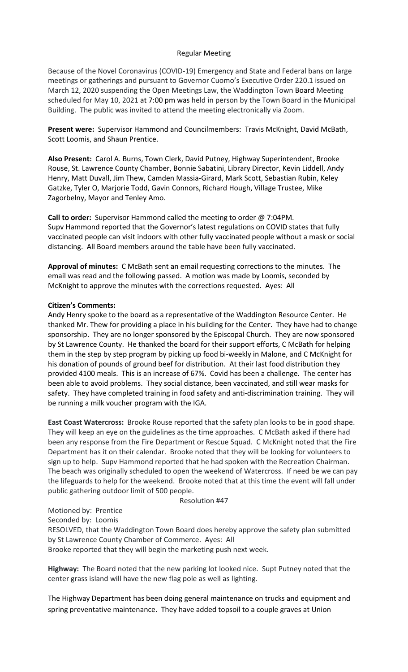# Regular Meeting

Because of the Novel Coronavirus (COVID-19) Emergency and State and Federal bans on large meetings or gatherings and pursuant to Governor Cuomo's Executive Order 220.1 issued on March 12, 2020 suspending the Open Meetings Law, the Waddington Town Board Meeting scheduled for May 10, 2021 at 7:00 pm was held in person by the Town Board in the Municipal Building. The public was invited to attend the meeting electronically via Zoom.

**Present were:** Supervisor Hammond and Councilmembers: Travis McKnight, David McBath, Scott Loomis, and Shaun Prentice.

**Also Present:** Carol A. Burns, Town Clerk, David Putney, Highway Superintendent, Brooke Rouse, St. Lawrence County Chamber, Bonnie Sabatini, Library Director, Kevin Liddell, Andy Henry, Matt Duvall, Jim Thew, Camden Massia-Girard, Mark Scott, Sebastian Rubin, Keley Gatzke, Tyler O, Marjorie Todd, Gavin Connors, Richard Hough, Village Trustee, Mike Zagorbelny, Mayor and Tenley Amo.

**Call to order:** Supervisor Hammond called the meeting to order @ 7:04PM. Supv Hammond reported that the Governor's latest regulations on COVID states that fully vaccinated people can visit indoors with other fully vaccinated people without a mask or social distancing. All Board members around the table have been fully vaccinated.

**Approval of minutes:** C McBath sent an email requesting corrections to the minutes. The email was read and the following passed. A motion was made by Loomis, seconded by McKnight to approve the minutes with the corrections requested. Ayes: All

## **Citizen's Comments:**

Andy Henry spoke to the board as a representative of the Waddington Resource Center. He thanked Mr. Thew for providing a place in his building for the Center. They have had to change sponsorship. They are no longer sponsored by the Episcopal Church. They are now sponsored by St Lawrence County. He thanked the board for their support efforts, C McBath for helping them in the step by step program by picking up food bi-weekly in Malone, and C McKnight for his donation of pounds of ground beef for distribution. At their last food distribution they provided 4100 meals. This is an increase of 67%. Covid has been a challenge. The center has been able to avoid problems. They social distance, been vaccinated, and still wear masks for safety. They have completed training in food safety and anti-discrimination training. They will be running a milk voucher program with the IGA.

**East Coast Watercross:** Brooke Rouse reported that the safety plan looks to be in good shape. They will keep an eye on the guidelines as the time approaches. C McBath asked if there had been any response from the Fire Department or Rescue Squad. C McKnight noted that the Fire Department has it on their calendar. Brooke noted that they will be looking for volunteers to sign up to help. Supv Hammond reported that he had spoken with the Recreation Chairman. The beach was originally scheduled to open the weekend of Watercross. If need be we can pay the lifeguards to help for the weekend. Brooke noted that at this time the event will fall under public gathering outdoor limit of 500 people.

Resolution #47

Motioned by: Prentice

Seconded by: Loomis

RESOLVED, that the Waddington Town Board does hereby approve the safety plan submitted by St Lawrence County Chamber of Commerce. Ayes: All Brooke reported that they will begin the marketing push next week.

**Highway:** The Board noted that the new parking lot looked nice. Supt Putney noted that the center grass island will have the new flag pole as well as lighting.

The Highway Department has been doing general maintenance on trucks and equipment and spring preventative maintenance. They have added topsoil to a couple graves at Union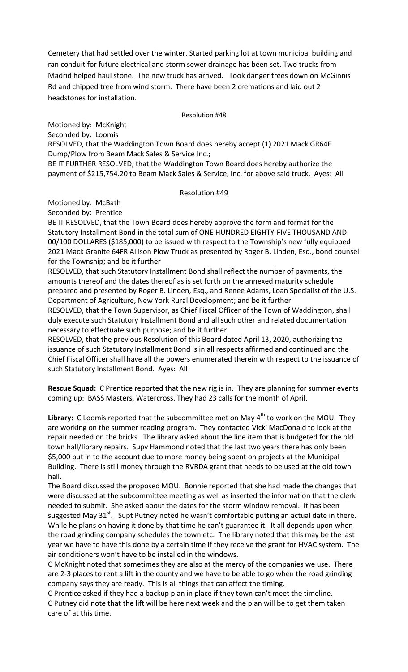Cemetery that had settled over the winter. Started parking lot at town municipal building and ran conduit for future electrical and storm sewer drainage has been set. Two trucks from Madrid helped haul stone. The new truck has arrived. Took danger trees down on McGinnis Rd and chipped tree from wind storm. There have been 2 cremations and laid out 2 headstones for installation.

### Resolution #48

Motioned by: McKnight Seconded by: Loomis RESOLVED, that the Waddington Town Board does hereby accept (1) 2021 Mack GR64F Dump/Plow from Beam Mack Sales & Service Inc.; BE IT FURTHER RESOLVED, that the Waddington Town Board does hereby authorize the

payment of \$215,754.20 to Beam Mack Sales & Service, Inc. for above said truck. Ayes: All

## Resolution #49

Motioned by: McBath

Seconded by: Prentice

BE IT RESOLVED, that the Town Board does hereby approve the form and format for the Statutory Installment Bond in the total sum of ONE HUNDRED EIGHTY-FIVE THOUSAND AND 00/100 DOLLARES (\$185,000) to be issued with respect to the Township's new fully equipped 2021 Mack Granite 64FR Allison Plow Truck as presented by Roger B. Linden, Esq., bond counsel for the Township; and be it further

RESOLVED, that such Statutory Installment Bond shall reflect the number of payments, the amounts thereof and the dates thereof as is set forth on the annexed maturity schedule prepared and presented by Roger B. Linden, Esq., and Renee Adams, Loan Specialist of the U.S. Department of Agriculture, New York Rural Development; and be it further

RESOLVED, that the Town Supervisor, as Chief Fiscal Officer of the Town of Waddington, shall duly execute such Statutory Installment Bond and all such other and related documentation necessary to effectuate such purpose; and be it further

RESOLVED, that the previous Resolution of this Board dated April 13, 2020, authorizing the issuance of such Statutory Installment Bond is in all respects affirmed and continued and the Chief Fiscal Officer shall have all the powers enumerated therein with respect to the issuance of such Statutory Installment Bond. Ayes: All

**Rescue Squad:** C Prentice reported that the new rig is in. They are planning for summer events coming up: BASS Masters, Watercross. They had 23 calls for the month of April.

Library: C Loomis reported that the subcommittee met on May 4<sup>th</sup> to work on the MOU. They are working on the summer reading program. They contacted Vicki MacDonald to look at the repair needed on the bricks. The library asked about the line item that is budgeted for the old town hall/library repairs. Supv Hammond noted that the last two years there has only been \$5,000 put in to the account due to more money being spent on projects at the Municipal Building. There is still money through the RVRDA grant that needs to be used at the old town hall.

The Board discussed the proposed MOU. Bonnie reported that she had made the changes that were discussed at the subcommittee meeting as well as inserted the information that the clerk needed to submit. She asked about the dates for the storm window removal. It has been suggested May  $31^{st}$ . Supt Putney noted he wasn't comfortable putting an actual date in there. While he plans on having it done by that time he can't guarantee it. It all depends upon when the road grinding company schedules the town etc. The library noted that this may be the last year we have to have this done by a certain time if they receive the grant for HVAC system. The air conditioners won't have to be installed in the windows.

C McKnight noted that sometimes they are also at the mercy of the companies we use. There are 2-3 places to rent a lift in the county and we have to be able to go when the road grinding company says they are ready. This is all things that can affect the timing.

C Prentice asked if they had a backup plan in place if they town can't meet the timeline. C Putney did note that the lift will be here next week and the plan will be to get them taken care of at this time.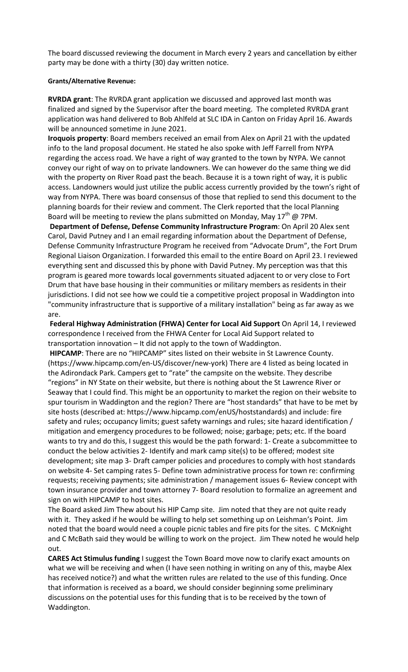The board discussed reviewing the document in March every 2 years and cancellation by either party may be done with a thirty (30) day written notice.

# **Grants/Alternative Revenue:**

**RVRDA grant**: The RVRDA grant application we discussed and approved last month was finalized and signed by the Supervisor after the board meeting. The completed RVRDA grant application was hand delivered to Bob Ahlfeld at SLC IDA in Canton on Friday April 16. Awards will be announced sometime in June 2021.

**Iroquois property**: Board members received an email from Alex on April 21 with the updated info to the land proposal document. He stated he also spoke with Jeff Farrell from NYPA regarding the access road. We have a right of way granted to the town by NYPA. We cannot convey our right of way on to private landowners. We can however do the same thing we did with the property on River Road past the beach. Because it is a town right of way, it is public access. Landowners would just utilize the public access currently provided by the town's right of way from NYPA. There was board consensus of those that replied to send this document to the planning boards for their review and comment. The Clerk reported that the local Planning Board will be meeting to review the plans submitted on Monday, May  $17<sup>th</sup>$  @ 7PM.

**Department of Defense, Defense Community Infrastructure Program**: On April 20 Alex sent Carol, David Putney and I an email regarding information about the Department of Defense, Defense Community Infrastructure Program he received from "Advocate Drum", the Fort Drum Regional Liaison Organization. I forwarded this email to the entire Board on April 23. I reviewed everything sent and discussed this by phone with David Putney. My perception was that this program is geared more towards local governments situated adjacent to or very close to Fort Drum that have base housing in their communities or military members as residents in their jurisdictions. I did not see how we could tie a competitive project proposal in Waddington into "community infrastructure that is supportive of a military installation" being as far away as we are.

**Federal Highway Administration (FHWA) Center for Local Aid Support** On April 14, I reviewed correspondence I received from the FHWA Center for Local Aid Support related to transportation innovation – It did not apply to the town of Waddington.

**HIPCAMP**: There are no "HIPCAMP" sites listed on their website in St Lawrence County. (https://www.hipcamp.com/en-US/discover/new-york) There are 4 listed as being located in the Adirondack Park. Campers get to "rate" the campsite on the website. They describe "regions" in NY State on their website, but there is nothing about the St Lawrence River or Seaway that I could find. This might be an opportunity to market the region on their website to spur tourism in Waddington and the region? There are "host standards" that have to be met by site hosts (described at: https://www.hipcamp.com/enUS/hoststandards) and include: fire safety and rules; occupancy limits; guest safety warnings and rules; site hazard identification / mitigation and emergency procedures to be followed; noise; garbage; pets; etc. If the board wants to try and do this, I suggest this would be the path forward: 1- Create a subcommittee to conduct the below activities 2- Identify and mark camp site(s) to be offered; modest site development; site map 3- Draft camper policies and procedures to comply with host standards on website 4- Set camping rates 5- Define town administrative process for town re: confirming requests; receiving payments; site administration / management issues 6- Review concept with town insurance provider and town attorney 7- Board resolution to formalize an agreement and sign on with HIPCAMP to host sites.

The Board asked Jim Thew about his HIP Camp site. Jim noted that they are not quite ready with it. They asked if he would be willing to help set something up on Leishman's Point. Jim noted that the board would need a couple picnic tables and fire pits for the sites. C McKnight and C McBath said they would be willing to work on the project. Jim Thew noted he would help out.

**CARES Act Stimulus funding** I suggest the Town Board move now to clarify exact amounts on what we will be receiving and when (I have seen nothing in writing on any of this, maybe Alex has received notice?) and what the written rules are related to the use of this funding. Once that information is received as a board, we should consider beginning some preliminary discussions on the potential uses for this funding that is to be received by the town of Waddington.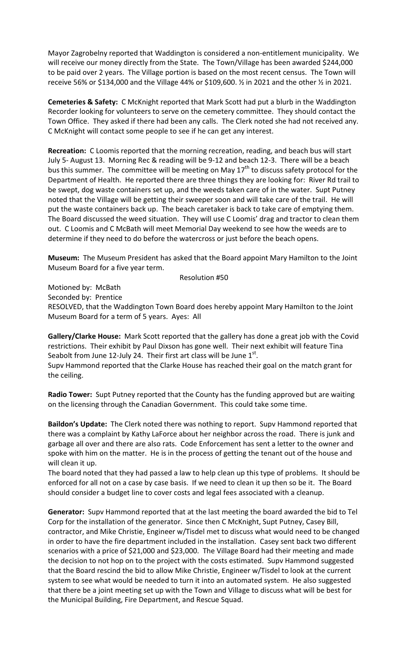Mayor Zagrobelny reported that Waddington is considered a non-entitlement municipality. We will receive our money directly from the State. The Town/Village has been awarded \$244,000 to be paid over 2 years. The Village portion is based on the most recent census. The Town will receive 56% or \$134,000 and the Village 44% or \$109,600. ½ in 2021 and the other ½ in 2021.

**Cemeteries & Safety:** C McKnight reported that Mark Scott had put a blurb in the Waddington Recorder looking for volunteers to serve on the cemetery committee. They should contact the Town Office. They asked if there had been any calls. The Clerk noted she had not received any. C McKnight will contact some people to see if he can get any interest.

**Recreation:** C Loomis reported that the morning recreation, reading, and beach bus will start July 5- August 13. Morning Rec & reading will be 9-12 and beach 12-3. There will be a beach bus this summer. The committee will be meeting on May 17<sup>th</sup> to discuss safety protocol for the Department of Health. He reported there are three things they are looking for: River Rd trail to be swept, dog waste containers set up, and the weeds taken care of in the water. Supt Putney noted that the Village will be getting their sweeper soon and will take care of the trail. He will put the waste containers back up. The beach caretaker is back to take care of emptying them. The Board discussed the weed situation. They will use C Loomis' drag and tractor to clean them out. C Loomis and C McBath will meet Memorial Day weekend to see how the weeds are to determine if they need to do before the watercross or just before the beach opens.

**Museum:** The Museum President has asked that the Board appoint Mary Hamilton to the Joint Museum Board for a five year term.

Resolution #50

Motioned by: McBath

Seconded by: Prentice

RESOLVED, that the Waddington Town Board does hereby appoint Mary Hamilton to the Joint Museum Board for a term of 5 years. Ayes: All

**Gallery/Clarke House:** Mark Scott reported that the gallery has done a great job with the Covid restrictions. Their exhibit by Paul Dixson has gone well. Their next exhibit will feature Tina Seabolt from June 12-July 24. Their first art class will be June  $1<sup>st</sup>$ . Supv Hammond reported that the Clarke House has reached their goal on the match grant for the ceiling.

**Radio Tower:** Supt Putney reported that the County has the funding approved but are waiting on the licensing through the Canadian Government. This could take some time.

**Baildon's Update:** The Clerk noted there was nothing to report. Supv Hammond reported that there was a complaint by Kathy LaForce about her neighbor across the road. There is junk and garbage all over and there are also rats. Code Enforcement has sent a letter to the owner and spoke with him on the matter. He is in the process of getting the tenant out of the house and will clean it up.

The board noted that they had passed a law to help clean up this type of problems. It should be enforced for all not on a case by case basis. If we need to clean it up then so be it. The Board should consider a budget line to cover costs and legal fees associated with a cleanup.

**Generator:** Supv Hammond reported that at the last meeting the board awarded the bid to Tel Corp for the installation of the generator. Since then C McKnight, Supt Putney, Casey Bill, contractor, and Mike Christie, Engineer w/Tisdel met to discuss what would need to be changed in order to have the fire department included in the installation. Casey sent back two different scenarios with a price of \$21,000 and \$23,000. The Village Board had their meeting and made the decision to not hop on to the project with the costs estimated. Supv Hammond suggested that the Board rescind the bid to allow Mike Christie, Engineer w/Tisdel to look at the current system to see what would be needed to turn it into an automated system. He also suggested that there be a joint meeting set up with the Town and Village to discuss what will be best for the Municipal Building, Fire Department, and Rescue Squad.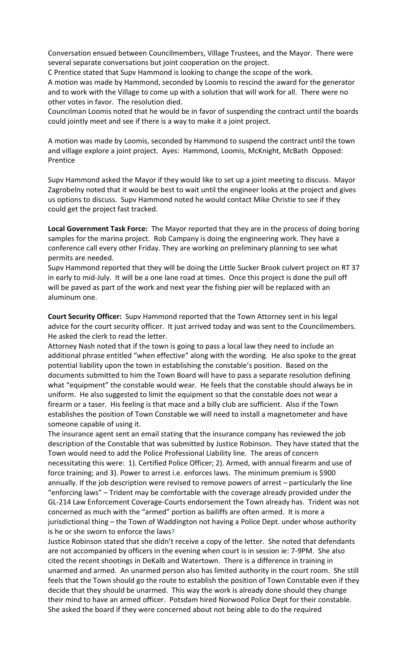Conversation ensued between Councilmembers, Village Trustees, and the Mayor. There were several separate conversations but joint cooperation on the project.

C Prentice stated that Supv Hammond is looking to change the scope of the work.

A motion was made by Hammond, seconded by Loomis to rescind the award for the generator and to work with the Village to come up with a solution that will work for all. There were no other votes in favor. The resolution died.

Councilman Loomis noted that he would be in favor of suspending the contract until the boards could jointly meet and see if there is a way to make it a joint project.

A motion was made by Loomis, seconded by Hammond to suspend the contract until the town and village explore a joint project. Ayes: Hammond, Loomis, McKnight, McBath Opposed: Prentice

Supv Hammond asked the Mayor if they would like to set up a joint meeting to discuss. Mayor Zagrobelny noted that it would be best to wait until the engineer looks at the project and gives us options to discuss. Supv Hammond noted he would contact Mike Christie to see if they could get the project fast tracked.

**Local Government Task Force:** The Mayor reported that they are in the process of doing boring samples for the marina project. Rob Campany is doing the engineering work. They have a conference call every other Friday. They are working on preliminary planning to see what permits are needed.

Supv Hammond reported that they will be doing the Little Sucker Brook culvert project on RT 37 in early to mid-July. It will be a one lane road at times. Once this project is done the pull off will be paved as part of the work and next year the fishing pier will be replaced with an aluminum one.

**Court Security Officer:** Supv Hammond reported that the Town Attorney sent in his legal advice for the court security officer. It just arrived today and was sent to the Councilmembers. He asked the clerk to read the letter.

Attorney Nash noted that if the town is going to pass a local law they need to include an additional phrase entitled "when effective" along with the wording. He also spoke to the great potential liability upon the town in establishing the constable's position. Based on the documents submitted to him the Town Board will have to pass a separate resolution defining what "equipment" the constable would wear. He feels that the constable should always be in uniform. He also suggested to limit the equipment so that the constable does not wear a firearm or a taser. His feeling is that mace and a billy club are sufficient. Also if the Town establishes the position of Town Constable we will need to install a magnetometer and have someone capable of using it.

The insurance agent sent an email stating that the insurance company has reviewed the job description of the Constable that was submitted by Justice Robinson. They have stated that the Town would need to add the Police Professional Liability line. The areas of concern necessitating this were: 1). Certified Police Officer; 2). Armed, with annual firearm and use of force training; and 3). Power to arrest i.e. enforces laws. The minimum premium is \$900 annually. If the job description were revised to remove powers of arrest – particularly the line "enforcing laws" – Trident may be comfortable with the coverage already provided under the GL-214 Law Enforcement Coverage-Courts endorsement the Town already has. Trident was not concerned as much with the "armed" portion as bailiffs are often armed. It is more a jurisdictional thing – the Town of Waddington not having a Police Dept. under whose authority is he or she sworn to enforce the laws?

Justice Robinson stated that she didn't receive a copy of the letter. She noted that defendants are not accompanied by officers in the evening when court is in session ie: 7-9PM. She also cited the recent shootings in DeKalb and Watertown. There is a difference in training in unarmed and armed. An unarmed person also has limited authority in the court room. She still feels that the Town should go the route to establish the position of Town Constable even if they decide that they should be unarmed. This way the work is already done should they change their mind to have an armed officer. Potsdam hired Norwood Police Dept for their constable. She asked the board if they were concerned about not being able to do the required